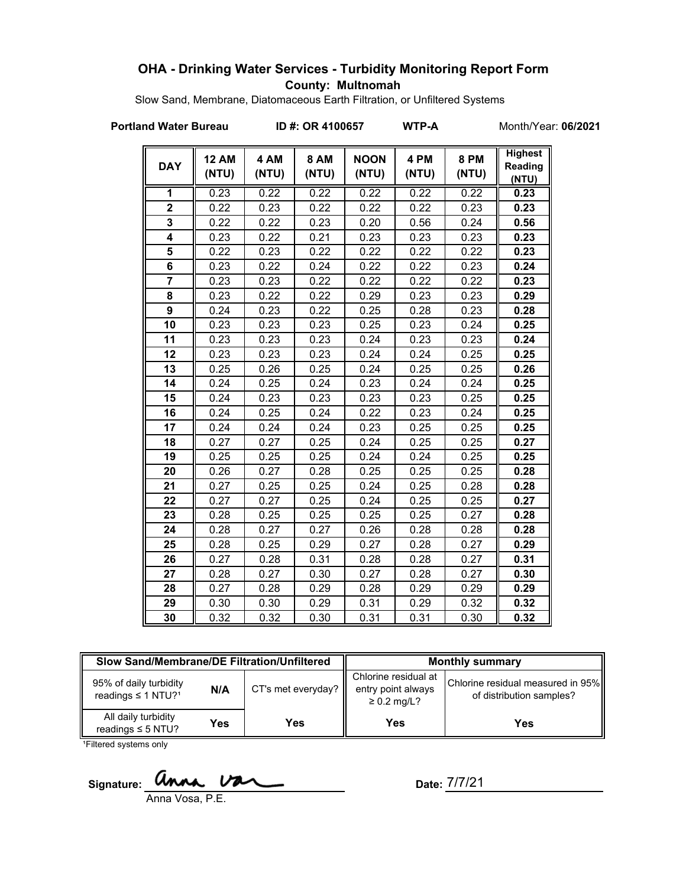# **OHA - Drinking Water Services - Turbidity Monitoring Report Form County: Multnomah**

Slow Sand, Membrane, Diatomaceous Earth Filtration, or Unfiltered Systems

**Portland Water Bureau ID #: OR 4100657 WTP-A** Month/Year: **06/2021**

| <b>DAY</b>     | <b>12 AM</b><br>(NTU) | 4 AM<br>(NTU) | <b>8 AM</b><br>(NTU) | <b>NOON</b><br>(NTU) | 4 PM<br>(NTU) | <b>8 PM</b><br>(NTU) | <b>Highest</b><br>Reading<br>(NTU) |
|----------------|-----------------------|---------------|----------------------|----------------------|---------------|----------------------|------------------------------------|
| 1              | 0.23                  | 0.22          | 0.22                 | 0.22                 | 0.22          | 0.22                 | 0.23                               |
| $\overline{2}$ | 0.22                  | 0.23          | 0.22                 | 0.22                 | 0.22          | 0.23                 | 0.23                               |
| 3              | 0.22                  | 0.22          | 0.23                 | 0.20                 | 0.56          | 0.24                 | 0.56                               |
| 4              | 0.23                  | 0.22          | 0.21                 | 0.23                 | 0.23          | 0.23                 | 0.23                               |
| 5              | 0.22                  | 0.23          | 0.22                 | 0.22                 | 0.22          | 0.22                 | 0.23                               |
| 6              | 0.23                  | 0.22          | 0.24                 | 0.22                 | 0.22          | 0.23                 | 0.24                               |
| 7              | 0.23                  | 0.23          | 0.22                 | 0.22                 | 0.22          | 0.22                 | 0.23                               |
| 8              | 0.23                  | 0.22          | 0.22                 | 0.29                 | 0.23          | 0.23                 | 0.29                               |
| 9              | 0.24                  | 0.23          | 0.22                 | 0.25                 | 0.28          | 0.23                 | 0.28                               |
| 10             | 0.23                  | 0.23          | 0.23                 | 0.25                 | 0.23          | 0.24                 | 0.25                               |
| 11             | 0.23                  | 0.23          | 0.23                 | 0.24                 | 0.23          | 0.23                 | 0.24                               |
| 12             | 0.23                  | 0.23          | 0.23                 | 0.24                 | 0.24          | 0.25                 | 0.25                               |
| 13             | 0.25                  | 0.26          | 0.25                 | 0.24                 | 0.25          | 0.25                 | 0.26                               |
| 14             | 0.24                  | 0.25          | 0.24                 | 0.23                 | 0.24          | 0.24                 | 0.25                               |
| 15             | 0.24                  | 0.23          | 0.23                 | 0.23                 | 0.23          | 0.25                 | 0.25                               |
| 16             | 0.24                  | 0.25          | 0.24                 | 0.22                 | 0.23          | 0.24                 | 0.25                               |
| 17             | 0.24                  | 0.24          | 0.24                 | 0.23                 | 0.25          | 0.25                 | 0.25                               |
| 18             | 0.27                  | 0.27          | 0.25                 | 0.24                 | 0.25          | 0.25                 | 0.27                               |
| 19             | 0.25                  | 0.25          | 0.25                 | 0.24                 | 0.24          | 0.25                 | 0.25                               |
| 20             | 0.26                  | 0.27          | 0.28                 | 0.25                 | 0.25          | 0.25                 | 0.28                               |
| 21             | 0.27                  | 0.25          | 0.25                 | 0.24                 | 0.25          | 0.28                 | 0.28                               |
| 22             | 0.27                  | 0.27          | 0.25                 | 0.24                 | 0.25          | 0.25                 | 0.27                               |
| 23             | 0.28                  | 0.25          | 0.25                 | 0.25                 | 0.25          | 0.27                 | 0.28                               |
| 24             | 0.28                  | 0.27          | 0.27                 | 0.26                 | 0.28          | 0.28                 | 0.28                               |
| 25             | 0.28                  | 0.25          | 0.29                 | 0.27                 | 0.28          | 0.27                 | 0.29                               |
| 26             | 0.27                  | 0.28          | 0.31                 | 0.28                 | 0.28          | 0.27                 | 0.31                               |
| 27             | 0.28                  | 0.27          | 0.30                 | 0.27                 | 0.28          | 0.27                 | 0.30                               |
| 28             | 0.27                  | 0.28          | 0.29                 | 0.28                 | 0.29          | 0.29                 | 0.29                               |
| 29             | 0.30                  | 0.30          | 0.29                 | 0.31                 | 0.29          | 0.32                 | 0.32                               |
| 30             | 0.32                  | 0.32          | 0.30                 | 0.31                 | 0.31          | 0.30                 | 0.32                               |

| Slow Sand/Membrane/DE Filtration/Unfiltered                          |     |                    | <b>Monthly summary</b>                                         |                                                               |  |
|----------------------------------------------------------------------|-----|--------------------|----------------------------------------------------------------|---------------------------------------------------------------|--|
| 95% of daily turbidity<br>N/A<br>readings $\leq$ 1 NTU? <sup>1</sup> |     | CT's met everyday? | Chlorine residual at<br>entry point always<br>$\geq$ 0.2 mg/L? | Chlorine residual measured in 95%<br>of distribution samples? |  |
| All daily turbidity<br>readings $\leq$ 5 NTU?                        | Yes | Yes                | Yes                                                            | Yes                                                           |  |

<sup>1</sup>Filtered systems only

**Signature:** 

Anna Vosa, P.E.

Date: 7/7/21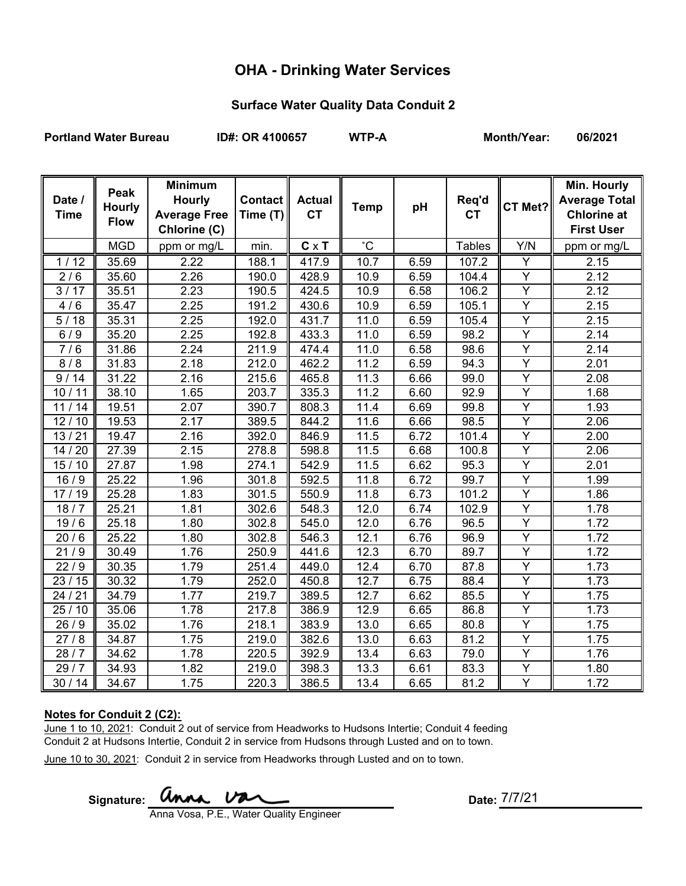# **OHA - Drinking Water Services**

#### **Surface Water Quality Data Conduit 2**

Portland Water Bureau **ID#: OR 4100657** WTP-A Month/Year: 06/2021

| Date /<br><b>Time</b> | Peak<br><b>Hourly</b> | <b>Minimum</b><br><b>Hourly</b><br><b>Average Free</b> | Contact<br>Time $(T)$ | <b>Actual</b><br><b>CT</b> | <b>Temp</b>       | pH   | Req'd<br><b>CT</b> | CT Met?        | Min. Hourly<br><b>Average Total</b><br><b>Chlorine at</b> |
|-----------------------|-----------------------|--------------------------------------------------------|-----------------------|----------------------------|-------------------|------|--------------------|----------------|-----------------------------------------------------------|
|                       | <b>Flow</b>           | Chlorine (C)                                           |                       |                            |                   |      |                    |                | <b>First User</b>                                         |
|                       | <b>MGD</b>            | ppm or mg/L                                            | min.                  | $C \times T$               | $^{\circ}{\rm C}$ |      | <b>Tables</b>      | Y/N            | ppm or mg/L                                               |
| 1/12                  | 35.69                 | 2.22                                                   | 188.1                 | 417.9                      | 10.7              | 6.59 | 107.2              | Y              | 2.15                                                      |
| 2/6                   | 35.60                 | 2.26                                                   | 190.0                 | 428.9                      | 10.9              | 6.59 | 104.4              | $\overline{Y}$ | 2.12                                                      |
| 3/17                  | 35.51                 | 2.23                                                   | 190.5                 | 424.5                      | 10.9              | 6.58 | 106.2              | $\overline{Y}$ | 2.12                                                      |
| 4/6                   | 35.47                 | 2.25                                                   | 191.2                 | 430.6                      | 10.9              | 6.59 | 105.1              | $\overline{Y}$ | 2.15                                                      |
| 5/18                  | 35.31                 | 2.25                                                   | 192.0                 | 431.7                      | 11.0              | 6.59 | 105.4              | Y              | 2.15                                                      |
| 6/9                   | 35.20                 | 2.25                                                   | 192.8                 | 433.3                      | 11.0              | 6.59 | 98.2               | $\overline{Y}$ | 2.14                                                      |
| 7/6                   | 31.86                 | 2.24                                                   | 211.9                 | 474.4                      | 11.0              | 6.58 | 98.6               | $\overline{Y}$ | 2.14                                                      |
| 8/8                   | 31.83                 | 2.18                                                   | 212.0                 | 462.2                      | 11.2              | 6.59 | 94.3               | $\overline{Y}$ | 2.01                                                      |
| 9/14                  | 31.22                 | 2.16                                                   | 215.6                 | 465.8                      | 11.3              | 6.66 | 99.0               | $\overline{Y}$ | 2.08                                                      |
| 10/11                 | 38.10                 | 1.65                                                   | 203.7                 | 335.3                      | 11.2              | 6.60 | 92.9               | Y              | 1.68                                                      |
| 11/14                 | 19.51                 | 2.07                                                   | 390.7                 | 808.3                      | 11.4              | 6.69 | 99.8               | Y              | 1.93                                                      |
| 12/10                 | 19.53                 | 2.17                                                   | 389.5                 | 844.2                      | 11.6              | 6.66 | 98.5               | $\overline{Y}$ | 2.06                                                      |
| 13/21                 | 19.47                 | 2.16                                                   | 392.0                 | 846.9                      | 11.5              | 6.72 | 101.4              | $\overline{Y}$ | 2.00                                                      |
| 14 / 20               | 27.39                 | 2.15                                                   | 278.8                 | 598.8                      | 11.5              | 6.68 | 100.8              | Y              | 2.06                                                      |
| 15/10                 | 27.87                 | 1.98                                                   | 274.1                 | 542.9                      | 11.5              | 6.62 | 95.3               | Y              | 2.01                                                      |
| 16/9                  | 25.22                 | 1.96                                                   | 301.8                 | 592.5                      | 11.8              | 6.72 | 99.7               | $\overline{Y}$ | 1.99                                                      |
| 17/19                 | 25.28                 | 1.83                                                   | 301.5                 | 550.9                      | 11.8              | 6.73 | 101.2              | Υ              | 1.86                                                      |
| 18/7                  | 25.21                 | 1.81                                                   | 302.6                 | 548.3                      | 12.0              | 6.74 | 102.9              | $\overline{Y}$ | 1.78                                                      |
| 19/6                  | 25.18                 | 1.80                                                   | 302.8                 | 545.0                      | 12.0              | 6.76 | 96.5               | Y              | 1.72                                                      |
| 20/6                  | 25.22                 | 1.80                                                   | 302.8                 | 546.3                      | 12.1              | 6.76 | 96.9               | $\overline{Y}$ | 1.72                                                      |
| 21/9                  | 30.49                 | 1.76                                                   | 250.9                 | 441.6                      | 12.3              | 6.70 | 89.7               | $\overline{Y}$ | 1.72                                                      |
| 22/9                  | 30.35                 | 1.79                                                   | 251.4                 | 449.0                      | 12.4              | 6.70 | 87.8               | Y              | 1.73                                                      |
| 23/15                 | 30.32                 | 1.79                                                   | 252.0                 | 450.8                      | 12.7              | 6.75 | 88.4               | $\overline{Y}$ | 1.73                                                      |
| 24/21                 | 34.79                 | 1.77                                                   | 219.7                 | 389.5                      | 12.7              | 6.62 | 85.5               | $\overline{Y}$ | 1.75                                                      |
| 25/10                 | 35.06                 | 1.78                                                   | 217.8                 | 386.9                      | 12.9              | 6.65 | 86.8               | $\overline{Y}$ | 1.73                                                      |
| 26/9                  | 35.02                 | 1.76                                                   | 218.1                 | 383.9                      | 13.0              | 6.65 | 80.8               | $\overline{Y}$ | 1.75                                                      |
| 27/8                  | 34.87                 | 1.75                                                   | 219.0                 | 382.6                      | 13.0              | 6.63 | 81.2               | Y              | 1.75                                                      |
| 28/7                  | 34.62                 | 1.78                                                   | 220.5                 | 392.9                      | 13.4              | 6.63 | 79.0               | Y              | 1.76                                                      |
| 29/7                  | 34.93                 | 1.82                                                   | 219.0                 | 398.3                      | 13.3              | 6.61 | 83.3               | $\overline{Y}$ | 1.80                                                      |
| 30/14                 | 34.67                 | 1.75                                                   | 220.3                 | 386.5                      | 13.4              | 6.65 | 81.2               | $\overline{Y}$ | 1.72                                                      |

#### **Notes for Conduit 2 (C2):**

June 1 to 10, 2021: Conduit 2 out of service from Headworks to Hudsons Intertie; Conduit 4 feeding Conduit 2 at Hudsons Intertie, Conduit 2 in service from Hudsons through Lusted and on to town.

June 10 to 30, 2021: Conduit 2 in service from Headworks through Lusted and on to town.

Signature: *Unna* Van

Date: 7/7/21

Anna Vosa, P.E., Water Quality Engineer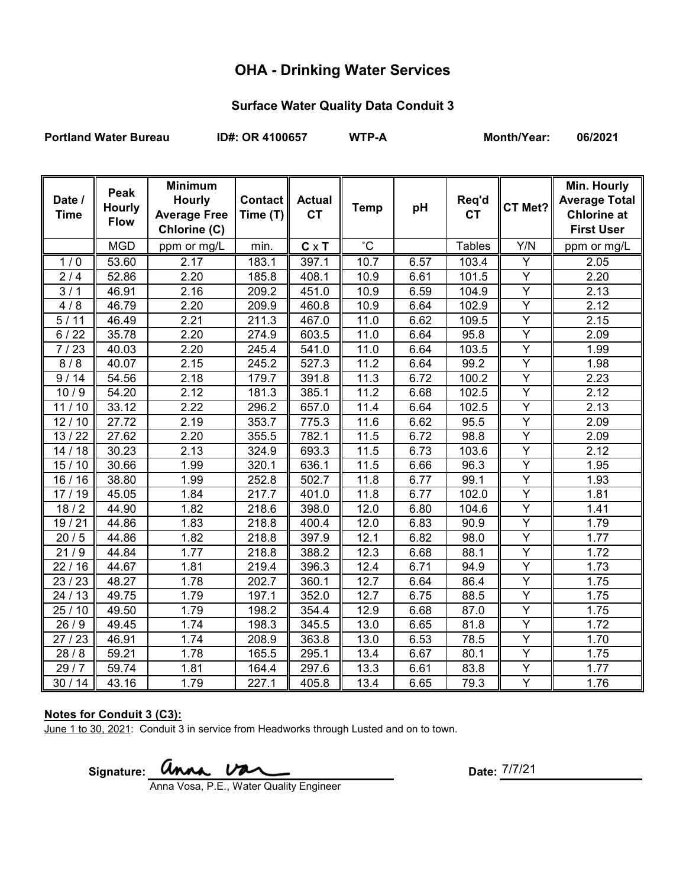# **OHA - Drinking Water Services**

### **Surface Water Quality Data Conduit 3**

Portland Water Bureau **ID#: OR 4100657** WTP-A Month/Year: 06/2021

| Date /<br><b>Time</b> | Peak<br><b>Hourly</b><br><b>Flow</b> | <b>Minimum</b><br><b>Hourly</b><br><b>Average Free</b><br>Chlorine (C) | <b>Contact</b><br>Time (T) | <b>Actual</b><br><b>CT</b> | <b>Temp</b>       | рH   | Req'd<br><b>CT</b> | CT Met?        | Min. Hourly<br><b>Average Total</b><br><b>Chlorine at</b><br><b>First User</b> |
|-----------------------|--------------------------------------|------------------------------------------------------------------------|----------------------------|----------------------------|-------------------|------|--------------------|----------------|--------------------------------------------------------------------------------|
|                       | <b>MGD</b>                           | ppm or mg/L                                                            | min.                       | $C \times T$               | $^{\circ}C$       |      | <b>Tables</b>      | Y/N            | ppm or mg/L                                                                    |
| 1/0                   | 53.60                                | 2.17                                                                   | 183.1                      | 397.1                      | 10.7              | 6.57 | 103.4              | Y              | 2.05                                                                           |
| 2/4                   | 52.86                                | 2.20                                                                   | 185.8                      | 408.1                      | 10.9              | 6.61 | 101.5              | $\overline{Y}$ | 2.20                                                                           |
| $\overline{3/1}$      | 46.91                                | 2.16                                                                   | 209.2                      | 451.0                      | 10.9              | 6.59 | 104.9              | $\overline{Y}$ | 2.13                                                                           |
| 4/8                   | 46.79                                | 2.20                                                                   | 209.9                      | 460.8                      | 10.9              | 6.64 | 102.9              | $\overline{Y}$ | 2.12                                                                           |
| 5/11                  | 46.49                                | 2.21                                                                   | 211.3                      | 467.0                      | 11.0              | 6.62 | 109.5              | $\overline{Y}$ | 2.15                                                                           |
| 6/22                  | 35.78                                | 2.20                                                                   | 274.9                      | 603.5                      | 11.0              | 6.64 | 95.8               | Υ              | 2.09                                                                           |
| 7/23                  | 40.03                                | 2.20                                                                   | 245.4                      | 541.0                      | $\overline{1}1.0$ | 6.64 | 103.5              | $\overline{Y}$ | 1.99                                                                           |
| 8/8                   | 40.07                                | 2.15                                                                   | 245.2                      | 527.3                      | 11.2              | 6.64 | 99.2               | $\overline{Y}$ | 1.98                                                                           |
| 9/14                  | 54.56                                | 2.18                                                                   | 179.7                      | 391.8                      | 11.3              | 6.72 | 100.2              | Y              | 2.23                                                                           |
| 10/9                  | 54.20                                | 2.12                                                                   | 181.3                      | 385.1                      | 11.2              | 6.68 | 102.5              | Y              | 2.12                                                                           |
| 11/10                 | 33.12                                | 2.22                                                                   | 296.2                      | 657.0                      | 11.4              | 6.64 | 102.5              | $\overline{Y}$ | 2.13                                                                           |
| 12/10                 | $\overline{27.72}$                   | 2.19                                                                   | 353.7                      | 775.3                      | 11.6              | 6.62 | 95.5               | Ÿ              | 2.09                                                                           |
| 13/22                 | 27.62                                | 2.20                                                                   | 355.5                      | 782.1                      | 11.5              | 6.72 | 98.8               | $\overline{Y}$ | 2.09                                                                           |
| 14/18                 | 30.23                                | 2.13                                                                   | 324.9                      | 693.3                      | 11.5              | 6.73 | 103.6              | $\overline{Y}$ | 2.12                                                                           |
| 15/10                 | 30.66                                | 1.99                                                                   | 320.1                      | 636.1                      | 11.5              | 6.66 | 96.3               | Y              | 1.95                                                                           |
| 16/16                 | 38.80                                | 1.99                                                                   | 252.8                      | 502.7                      | 11.8              | 6.77 | 99.1               | $\overline{Y}$ | 1.93                                                                           |
| 17/19                 | 45.05                                | 1.84                                                                   | 217.7                      | 401.0                      | 11.8              | 6.77 | 102.0              | $\overline{Y}$ | 1.81                                                                           |
| 18/2                  | 44.90                                | 1.82                                                                   | 218.6                      | 398.0                      | 12.0              | 6.80 | 104.6              | $\overline{Y}$ | 1.41                                                                           |
| 19/21                 | 44.86                                | 1.83                                                                   | 218.8                      | 400.4                      | 12.0              | 6.83 | 90.9               | $\overline{Y}$ | 1.79                                                                           |
| 20/5                  | 44.86                                | 1.82                                                                   | 218.8                      | 397.9                      | 12.1              | 6.82 | 98.0               | $\overline{Y}$ | 1.77                                                                           |
| $\frac{1}{21}$ /9     | 44.84                                | 1.77                                                                   | 218.8                      | 388.2                      | 12.3              | 6.68 | 88.1               | Ÿ              | 1.72                                                                           |
| 22/16                 | 44.67                                | 1.81                                                                   | 219.4                      | 396.3                      | 12.4              | 6.71 | 94.9               | $\overline{Y}$ | 1.73                                                                           |
| 23/23                 | 48.27                                | 1.78                                                                   | 202.7                      | 360.1                      | 12.7              | 6.64 | 86.4               | $\overline{Y}$ | 1.75                                                                           |
| 24/13                 | 49.75                                | 1.79                                                                   | 197.1                      | 352.0                      | 12.7              | 6.75 | 88.5               | $\overline{Y}$ | 1.75                                                                           |
| 25/10                 | 49.50                                | 1.79                                                                   | 198.2                      | 354.4                      | 12.9              | 6.68 | 87.0               | $\overline{Y}$ | 1.75                                                                           |
| 26/9                  | 49.45                                | 1.74                                                                   | 198.3                      | 345.5                      | 13.0              | 6.65 | 81.8               | $\overline{Y}$ | 1.72                                                                           |
| 27/23                 | 46.91                                | 1.74                                                                   | 208.9                      | 363.8                      | 13.0              | 6.53 | 78.5               | $\overline{Y}$ | 1.70                                                                           |
| 28/8                  | 59.21                                | 1.78                                                                   | 165.5                      | 295.1                      | 13.4              | 6.67 | 80.1               | $\overline{Y}$ | 1.75                                                                           |
| 29/7                  | 59.74                                | 1.81                                                                   | 164.4                      | 297.6                      | 13.3              | 6.61 | 83.8               | Y              | 1.77                                                                           |
| 30/14                 | 43.16                                | 1.79                                                                   | 227.1                      | 405.8                      | 13.4              | 6.65 | 79.3               | Y              | 1.76                                                                           |

#### **Notes for Conduit 3 (C3):**

June 1 to 30, 2021: Conduit 3 in service from Headworks through Lusted and on to town.

Signature: **UMMA VALL** 

Date: 7/7/21

Anna Vosa, P.E., Water Quality Engineer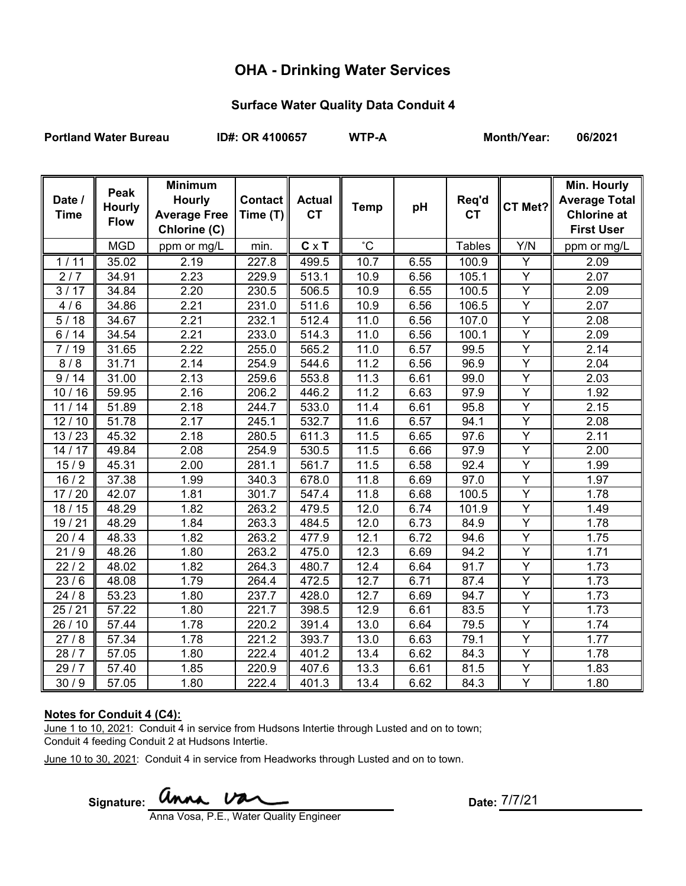# **OHA - Drinking Water Services**

### **Surface Water Quality Data Conduit 4**

Portland Water Bureau **ID#: OR 4100657** WTP-A Month/Year: 06/2021

| Date /<br><b>Time</b> | Peak<br><b>Hourly</b><br><b>Flow</b> | <b>Minimum</b><br><b>Hourly</b><br><b>Average Free</b><br>Chlorine (C) | <b>Contact</b><br>Time (T) | <b>Actual</b><br><b>CT</b> | <b>Temp</b>  | pH   | Req'd<br><b>CT</b> | CT Met?                 | <b>Min. Hourly</b><br><b>Average Total</b><br><b>Chlorine at</b><br><b>First User</b> |
|-----------------------|--------------------------------------|------------------------------------------------------------------------|----------------------------|----------------------------|--------------|------|--------------------|-------------------------|---------------------------------------------------------------------------------------|
|                       | <b>MGD</b>                           | ppm or mg/L                                                            | min.                       | $C \times T$               | $^{\circ}$ C |      | <b>Tables</b>      | Y/N                     | ppm or mg/L                                                                           |
| 1/11                  | 35.02                                | 2.19                                                                   | 227.8                      | 499.5                      | 10.7         | 6.55 | 100.9              | Y                       | 2.09                                                                                  |
| 2/7                   | 34.91                                | 2.23                                                                   | 229.9                      | 513.1                      | 10.9         | 6.56 | 105.1              | $\overline{\mathsf{Y}}$ | 2.07                                                                                  |
| 3/17                  | 34.84                                | 2.20                                                                   | 230.5                      | 506.5                      | 10.9         | 6.55 | 100.5              | $\overline{Y}$          | 2.09                                                                                  |
| 4/6                   | 34.86                                | 2.21                                                                   | 231.0                      | 511.6                      | 10.9         | 6.56 | 106.5              | Ÿ                       | 2.07                                                                                  |
| 5/18                  | 34.67                                | 2.21                                                                   | 232.1                      | 512.4                      | 11.0         | 6.56 | 107.0              | $\overline{Y}$          | 2.08                                                                                  |
| 6/14                  | 34.54                                | 2.21                                                                   | 233.0                      | 514.3                      | 11.0         | 6.56 | 100.1              | Υ                       | 2.09                                                                                  |
| 7/19                  | 31.65                                | 2.22                                                                   | 255.0                      | 565.2                      | 11.0         | 6.57 | 99.5               | Ÿ                       | 2.14                                                                                  |
| 8/8                   | 31.71                                | 2.14                                                                   | 254.9                      | 544.6                      | 11.2         | 6.56 | 96.9               | $\overline{Y}$          | 2.04                                                                                  |
| 9/14                  | 31.00                                | 2.13                                                                   | 259.6                      | 553.8                      | 11.3         | 6.61 | 99.0               | Ÿ                       | 2.03                                                                                  |
| 10/16                 | 59.95                                | 2.16                                                                   | 206.2                      | 446.2                      | 11.2         | 6.63 | 97.9               | $\overline{Y}$          | 1.92                                                                                  |
| 11/14                 | 51.89                                | 2.18                                                                   | 244.7                      | 533.0                      | 11.4         | 6.61 | 95.8               | Y                       | 2.15                                                                                  |
| 12/10                 | 51.78                                | 2.17                                                                   | 245.1                      | 532.7                      | 11.6         | 6.57 | 94.1               | $\overline{Y}$          | 2.08                                                                                  |
| 13/23                 | 45.32                                | 2.18                                                                   | 280.5                      | 611.3                      | 11.5         | 6.65 | 97.6               | $\overline{Y}$          | 2.11                                                                                  |
| 14/17                 | 49.84                                | 2.08                                                                   | 254.9                      | 530.5                      | 11.5         | 6.66 | 97.9               | $\overline{Y}$          | 2.00                                                                                  |
| 15/9                  | 45.31                                | 2.00                                                                   | 281.1                      | 561.7                      | 11.5         | 6.58 | 92.4               | $\overline{Y}$          | 1.99                                                                                  |
| 16/2                  | 37.38                                | 1.99                                                                   | 340.3                      | 678.0                      | 11.8         | 6.69 | 97.0               | Υ                       | 1.97                                                                                  |
| 17/20                 | 42.07                                | 1.81                                                                   | 301.7                      | 547.4                      | 11.8         | 6.68 | 100.5              | Υ                       | 1.78                                                                                  |
| 18/15                 | 48.29                                | 1.82                                                                   | 263.2                      | 479.5                      | 12.0         | 6.74 | 101.9              | Y                       | 1.49                                                                                  |
| 19/21                 | 48.29                                | 1.84                                                                   | 263.3                      | 484.5                      | 12.0         | 6.73 | 84.9               | Y                       | 1.78                                                                                  |
| 20/4                  | 48.33                                | 1.82                                                                   | 263.2                      | 477.9                      | 12.1         | 6.72 | 94.6               | $\overline{\mathsf{Y}}$ | 1.75                                                                                  |
| 21/9                  | 48.26                                | 1.80                                                                   | 263.2                      | 475.0                      | 12.3         | 6.69 | 94.2               | Y                       | 1.71                                                                                  |
| 22/2                  | 48.02                                | 1.82                                                                   | 264.3                      | 480.7                      | 12.4         | 6.64 | 91.7               | Y                       | 1.73                                                                                  |
| 23/6                  | 48.08                                | 1.79                                                                   | 264.4                      | 472.5                      | 12.7         | 6.71 | 87.4               | $\overline{Y}$          | 1.73                                                                                  |
| 24/8                  | 53.23                                | 1.80                                                                   | 237.7                      | 428.0                      | 12.7         | 6.69 | 94.7               | $\overline{Y}$          | 1.73                                                                                  |
| 25/21                 | 57.22                                | 1.80                                                                   | 221.7                      | 398.5                      | 12.9         | 6.61 | 83.5               | $\overline{Y}$          | 1.73                                                                                  |
| 26/10                 | 57.44                                | 1.78                                                                   | 220.2                      | 391.4                      | 13.0         | 6.64 | 79.5               | Υ                       | 1.74                                                                                  |
| 27/8                  | 57.34                                | 1.78                                                                   | 221.2                      | 393.7                      | 13.0         | 6.63 | 79.1               | Y                       | 1.77                                                                                  |
| 28/7                  | 57.05                                | 1.80                                                                   | 222.4                      | 401.2                      | 13.4         | 6.62 | 84.3               | $\overline{Y}$          | 1.78                                                                                  |
| 29/7                  | 57.40                                | 1.85                                                                   | 220.9                      | 407.6                      | 13.3         | 6.61 | 81.5               | Y                       | 1.83                                                                                  |
| $\frac{1}{30}$ / 9    | 57.05                                | 1.80                                                                   | 222.4                      | 401.3                      | 13.4         | 6.62 | 84.3               | $\overline{Y}$          | 1.80                                                                                  |

## **Notes for Conduit 4 (C4):**

June 1 to 10, 2021: Conduit 4 in service from Hudsons Intertie through Lusted and on to town; Conduit 4 feeding Conduit 2 at Hudsons Intertie.

June 10 to 30, 2021: Conduit 4 in service from Headworks through Lusted and on to town.

Signature: **WIMA.**  $\overline{V}$  Date:

Date: 7/7/21

Anna Vosa, P.E., Water Quality Engineer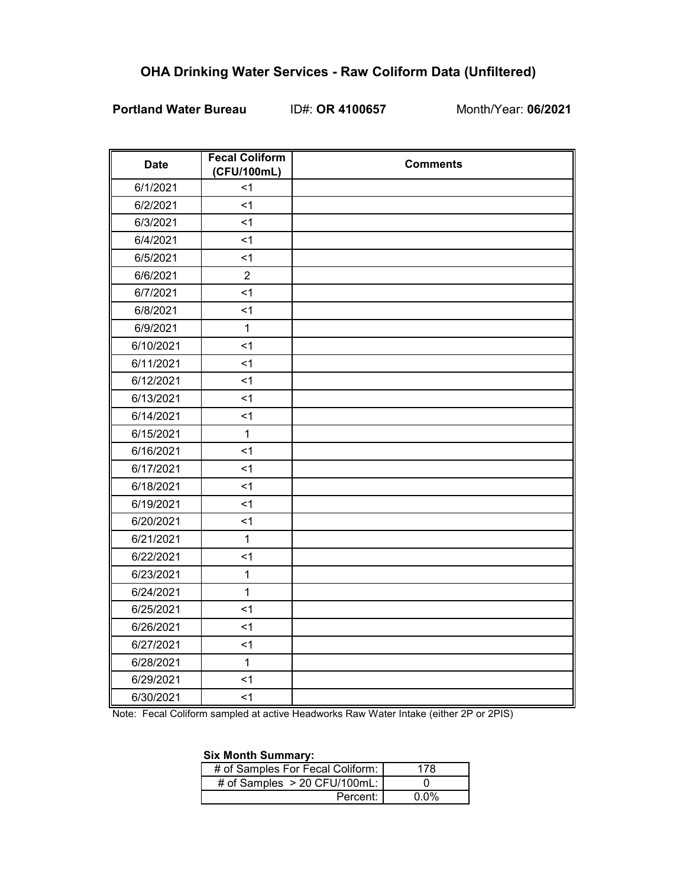# **OHA Drinking Water Services - Raw Coliform Data (Unfiltered)**

## **Portland Water Bureau** ID#: **OR 4100657** Month/Year: **06/2021**

| <b>Date</b> | <b>Fecal Coliform</b><br>(CFU/100mL) | <b>Comments</b> |
|-------------|--------------------------------------|-----------------|
| 6/1/2021    | $<$ 1                                |                 |
| 6/2/2021    | < 1                                  |                 |
| 6/3/2021    | < 1                                  |                 |
| 6/4/2021    | < 1                                  |                 |
| 6/5/2021    | < 1                                  |                 |
| 6/6/2021    | $\overline{2}$                       |                 |
| 6/7/2021    | $\leq$ 1                             |                 |
| 6/8/2021    | < 1                                  |                 |
| 6/9/2021    | $\mathbf{1}$                         |                 |
| 6/10/2021   | < 1                                  |                 |
| 6/11/2021   | < 1                                  |                 |
| 6/12/2021   | $1$                                  |                 |
| 6/13/2021   | $1$                                  |                 |
| 6/14/2021   | < 1                                  |                 |
| 6/15/2021   | $\mathbf{1}$                         |                 |
| 6/16/2021   | < 1                                  |                 |
| 6/17/2021   | $1$                                  |                 |
| 6/18/2021   | < 1                                  |                 |
| 6/19/2021   | < 1                                  |                 |
| 6/20/2021   | < 1                                  |                 |
| 6/21/2021   | $\mathbf{1}$                         |                 |
| 6/22/2021   | $\leq$ 1                             |                 |
| 6/23/2021   | $\mathbf{1}$                         |                 |
| 6/24/2021   | $\mathbf{1}$                         |                 |
| 6/25/2021   | < 1                                  |                 |
| 6/26/2021   | < 1                                  |                 |
| 6/27/2021   | < 1                                  |                 |
| 6/28/2021   | $\mathbf{1}$                         |                 |
| 6/29/2021   | $<$ 1                                |                 |
| 6/30/2021   | < 1                                  |                 |

Note: Fecal Coliform sampled at active Headworks Raw Water Intake (either 2P or 2PIS)

#### **Six Month Summary:**

| # of Samples For Fecal Coliform: | 178  |
|----------------------------------|------|
| # of Samples $> 20$ CFU/100mL:   |      |
| Percent:                         | በ በ% |